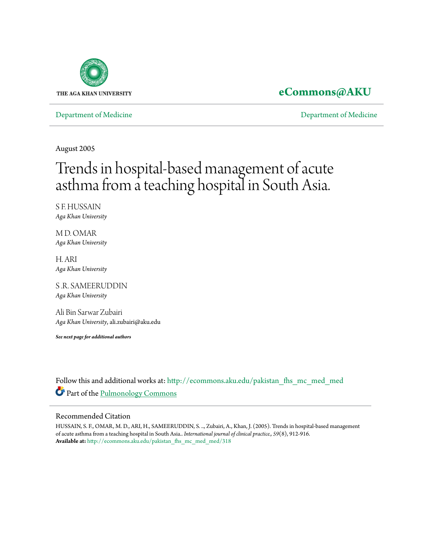

# **[eCommons@AKU](http://ecommons.aku.edu?utm_source=ecommons.aku.edu%2Fpakistan_fhs_mc_med_med%2F318&utm_medium=PDF&utm_campaign=PDFCoverPages)**

[Department of Medicine](http://ecommons.aku.edu/pakistan_fhs_mc_med_med?utm_source=ecommons.aku.edu%2Fpakistan_fhs_mc_med_med%2F318&utm_medium=PDF&utm_campaign=PDFCoverPages) [Department of Medicine](http://ecommons.aku.edu/pakistan_fhs_mc_med?utm_source=ecommons.aku.edu%2Fpakistan_fhs_mc_med_med%2F318&utm_medium=PDF&utm_campaign=PDFCoverPages)

August 2005

# Trends in hospital-based management of acute asthma from a teaching hospital in South Asia.

S F. HUSSAIN *Aga Khan University*

M D. OMAR *Aga Khan University*

H. ARI *Aga Khan University*

S .R. SAMEERUDDIN *Aga Khan University*

Ali Bin Sarwar Zubairi *Aga Khan University*, ali.zubairi@aku.edu

*See next page for additional authors*

Follow this and additional works at: [http://ecommons.aku.edu/pakistan\\_fhs\\_mc\\_med\\_med](http://ecommons.aku.edu/pakistan_fhs_mc_med_med?utm_source=ecommons.aku.edu%2Fpakistan_fhs_mc_med_med%2F318&utm_medium=PDF&utm_campaign=PDFCoverPages) Part of the [Pulmonology Commons](http://network.bepress.com/hgg/discipline/1363?utm_source=ecommons.aku.edu%2Fpakistan_fhs_mc_med_med%2F318&utm_medium=PDF&utm_campaign=PDFCoverPages)

# Recommended Citation

HUSSAIN, S. F., OMAR, M. D., ARI, H., SAMEERUDDIN, S. .., Zubairi, A., Khan, J. (2005). Trends in hospital-based management of acute asthma from a teaching hospital in South Asia.. *International journal of clinical practice., 59*(8), 912-916. **Available at:** [http://ecommons.aku.edu/pakistan\\_fhs\\_mc\\_med\\_med/318](http://ecommons.aku.edu/pakistan_fhs_mc_med_med/318)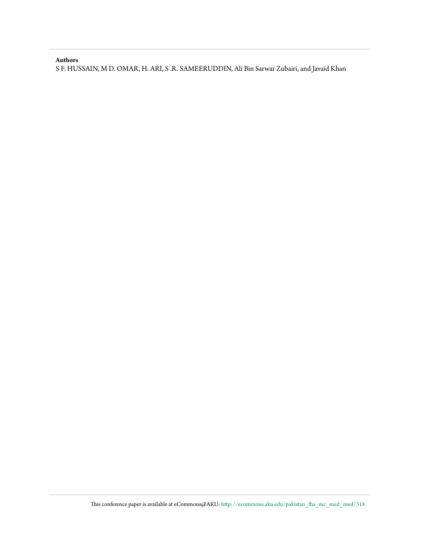## **Authors**

S F. HUSSAIN, M D. OMAR, H. ARI, S .R. SAMEERUDDIN, Ali Bin Sarwar Zubairi, and Javaid Khan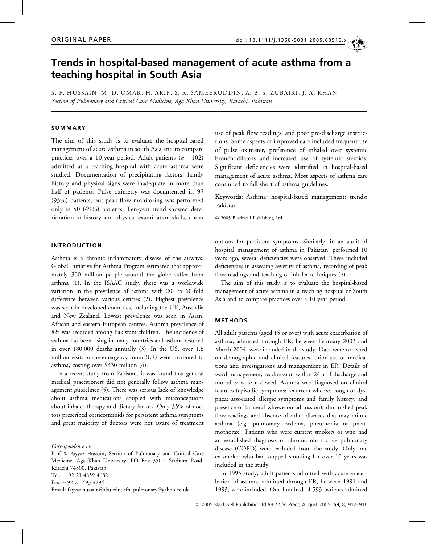# Trends in hospital-based management of acute asthma from a teaching hospital in South Asia

S. F. HUSSAIN, M. D. OMAR, H. ARIF, S. R. SAMEERUDDIN, A. B. S. ZUBAIRI, J. A. KHAN Section of Pulmonary and Critical Care Medicine, Aga Khan University, Karachi, Pakistan

## **SUMMARY**

The aim of this study is to evaluate the hospital-based management of acute asthma in south Asia and to compare practices over a 10-year period. Adult patients ( $n = 102$ ) admitted at a teaching hospital with acute asthma were studied. Documentation of precipitating factors, family history and physical signs were inadequate in more than half of patients. Pulse oximetry was documented in 95 (93%) patients, but peak flow monitoring was performed only in 50 (49%) patients. Ten-year trend showed deterioration in history and physical examination skills, under use of peak flow readings, and poor pre-discharge instructions. Some aspects of improved care included frequent use of pulse oximeter, preference of inhaled over systemic bronchodilators and increased use of systemic steroids. Significant deficiencies were identified in hospital-based management of acute asthma. Most aspects of asthma care continued to fall short of asthma guidelines.

Keywords: Asthma; hospital-based management; trends; Pakistan

2005 Blackwell Publishing Ltd

#### INTRODUCTION

Asthma is a chronic inflammatory disease of the airways. Global Initiative for Asthma Program estimated that approximately 300 million people around the globe suffer from asthma (1). In the ISAAC study, there was a worldwide variation in the prevalence of asthma with 20- to 60-fold difference between various centres (2). Highest prevalence was seen in developed countries, including the UK, Australia and New Zealand. Lowest prevalence was seen in Asian, African and eastern European centres. Asthma prevalence of 8% was recorded among Pakistani children. The incidence of asthma has been rising in many countries and asthma resulted in over 180,000 deaths annually (3). In the US, over 1.8 million visits to the emergency room (ER) were attributed to asthma, costing over \$430 million (4).

In a recent study from Pakistan, it was found that general medical practitioners did not generally follow asthma management guidelines (5). There was serious lack of knowledge about asthma medications coupled with misconceptions about inhaler therapy and dietary factors. Only 35% of doctors prescribed corticosteroids for persistent asthma symptoms and great majority of doctors were not aware of treatment

Correspondence to:

Prof S. Fayyaz Hussain, Section of Pulmonary and Critical Care Medicine, Aga Khan University, PO Box 3500, Stadium Road, Karachi 74800, Pakistan Tel.: + 92 21 4859 4682 Fax: + 92 21 493 4294 Email: fayyaz.hussain@aku.edu; sfh\_pulmonary@yahoo.co.uk

options for persistent symptoms. Similarly, in an audit of hospital management of asthma in Pakistan, performed 10 years ago, several deficiencies were observed. These included deficiencies in assessing severity of asthma, recording of peak flow readings and teaching of inhaler techniques (6).

The aim of this study is to evaluate the hospital-based management of acute asthma in a teaching hospital of South Asia and to compare practices over a 10-year period.

#### METHODS

All adult patients (aged 15 or over) with acute exacerbation of asthma, admitted through ER, between February 2003 and March 2004, were included in the study. Data were collected on demographic and clinical features, prior use of medications and investigations and management in ER. Details of ward management, readmission within 24 h of discharge and mortality were reviewed. Asthma was diagnosed on clinical features (episodic symptoms; recurrent wheeze, cough or dyspnea; associated allergic symptoms and family history, and presence of bilateral wheeze on admission), diminished peak flow readings and absence of other diseases that may mimic asthma (e.g. pulmonary oedema, pneumonia or pneumothorax). Patients who were current smokers or who had an established diagnosis of chronic obstructive pulmonary disease (COPD) were excluded from the study. Only one ex-smoker who had stopped smoking for over 10 years was included in the study.

In 1995 study, adult patients admitted with acute exacerbation of asthma, admitted through ER, between 1991 and 1993, were included. One hundred of 593 patients admitted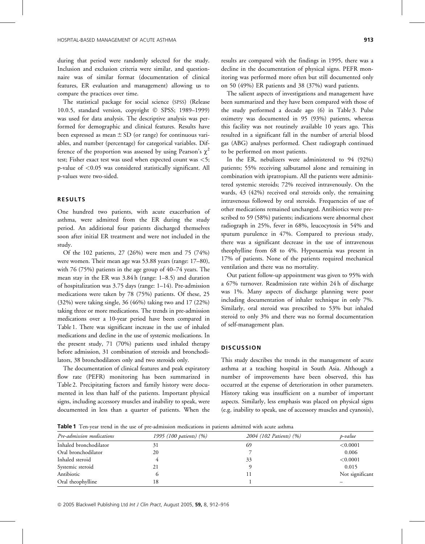during that period were randomly selected for the study. Inclusion and exclusion criteria were similar, and questionnaire was of similar format (documentation of clinical features, ER evaluation and management) allowing us to compare the practices over time.

The statistical package for social science (SPSS) (Release 10.0.5, standard version, copyright © SPSS; 1989-1999) was used for data analysis. The descriptive analysis was performed for demographic and clinical features. Results have been expressed as mean  $\pm$  SD (or range) for continuous variables, and number (percentage) for categorical variables. Difference of the proportion was assessed by using Pearson's  $\chi^2$ test; Fisher exact test was used when expected count was <5; p-value of <0.05 was considered statistically significant. All p-values were two-sided.

## RESULTS

One hundred two patients, with acute exacerbation of asthma, were admitted from the ER during the study period. An additional four patients discharged themselves soon after initial ER treatment and were not included in the study.

Of the 102 patients, 27 (26%) were men and 75 (74%) were women. Their mean age was 53.88 years (range: 17–80), with 76 (75%) patients in the age group of 40–74 years. The mean stay in the ER was 3.84 h (range: 1–8.5) and duration of hospitalization was 3.75 days (range: 1–14). Pre-admission medications were taken by 78 (75%) patients. Of these, 25 (32%) were taking single, 36 (46%) taking two and 17 (22%) taking three or more medications. The trends in pre-admission medications over a 10-year period have been compared in Table 1. There was significant increase in the use of inhaled medications and decline in the use of systemic medications. In the present study, 71 (70%) patients used inhaled therapy before admission, 31 combination of steroids and bronchodilators, 38 bronchodilators only and two steroids only.

The documentation of clinical features and peak expiratory flow rate (PEFR) monitoring has been summarized in Table 2. Precipitating factors and family history were documented in less than half of the patients. Important physical signs, including accessory muscles and inability to speak, were documented in less than a quarter of patients. When the results are compared with the findings in 1995, there was a decline in the documentation of physical signs. PEFR monitoring was performed more often but still documented only on 50 (49%) ER patients and 38 (37%) ward patients.

The salient aspects of investigations and management have been summarized and they have been compared with those of the study performed a decade ago (6) in Table 3. Pulse oximetry was documented in 95 (93%) patients, whereas this facility was not routinely available 10 years ago. This resulted in a significant fall in the number of arterial blood gas (ABG) analyses performed. Chest radiograph continued to be performed on most patients.

In the ER, nebulizers were administered to 94 (92%) patients; 55% receiving salbutamol alone and remaining in combination with ipratropium. All the patients were administered systemic steroids; 72% received intravenously. On the wards, 43 (42%) received oral steroids only, the remaining intravenous followed by oral steroids. Frequencies of use of other medications remained unchanged. Antibiotics were prescribed to 59 (58%) patients; indications were abnormal chest radiograph in 25%, fever in 68%, leucocytosis in 54% and sputum purulence in 47%. Compared to previous study, there was a significant decrease in the use of intravenous theophylline from 68 to 4%. Hypoxaemia was present in 17% of patients. None of the patients required mechanical ventilation and there was no mortality.

Out patient follow-up appointment was given to 95% with a 67% turnover. Readmission rate within 24 h of discharge was 1%. Many aspects of discharge planning were poor including documentation of inhaler technique in only 7%. Similarly, oral steroid was prescribed to 53% but inhaled steroid to only 3% and there was no formal documentation of self-management plan.

#### **DISCUSSION**

This study describes the trends in the management of acute asthma at a teaching hospital in South Asia. Although a number of improvements have been observed, this has occurred at the expense of deterioration in other parameters. History taking was insufficient on a number of important aspects. Similarly, less emphasis was placed on physical signs (e.g. inability to speak, use of accessory muscles and cyanosis),

Table 1 Ten-year trend in the use of pre-admission medications in patients admitted with acute asthma

| Pre-admission medications | 1995 (100 patients) (%) | 2004 (102 Patients) (%) | p-value         |
|---------------------------|-------------------------|-------------------------|-----------------|
| Inhaled bronchodilator    | 31                      | 69                      | < 0.0001        |
| Oral bronchodilator       | 20                      |                         | 0.006           |
| Inhaled steroid           |                         | 33                      | < 0.0001        |
| Systemic steroid          | 21                      |                         | 0.015           |
| Antibiotic                |                         |                         | Not significant |
| Oral theophylline         | 18                      |                         |                 |

© 2005 Blackwell Publishing Ltd Int J Clin Pract, August 2005, 59, 8, 912-916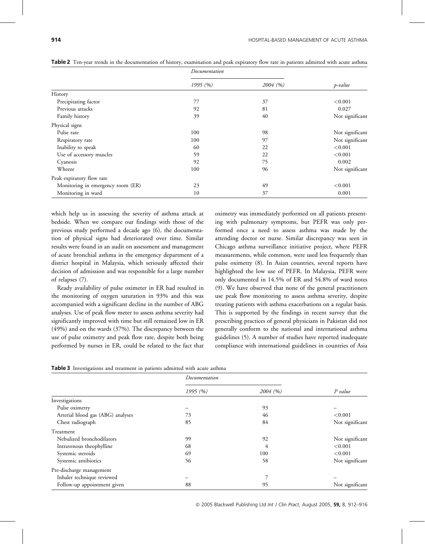|                                   | Documentation |          |                 |  |
|-----------------------------------|---------------|----------|-----------------|--|
|                                   | 1995(%)       | 2004 (%) | p-value         |  |
| History                           |               |          |                 |  |
| Precipitating factor              | 77            | 37       | < 0.001         |  |
| Previous attacks                  | 92            | 81       | 0.027           |  |
| Family history                    | 39            | 40       | Not significant |  |
| Physical signs                    |               |          |                 |  |
| Pulse rate                        | 100           | 98       | Not significant |  |
| Respiratory rate                  | 100           | 97       | Not significant |  |
| Inability to speak                | 60            | 22       | < 0.001         |  |
| Use of accessory muscles          | 59            | 22       | < 0.001         |  |
| Cyanosis                          | 92            | 75       | 0.002           |  |
| Wheeze                            | 100           | 96       | Not significant |  |
| Peak expiratory flow rate         |               |          |                 |  |
| Monitoring in emergency room (ER) | 23            | 49       | < 0.001         |  |
| Monitoring in ward                | 10            | 37       | 0.001           |  |

Table 2 Ten-year trends in the documentation of history, examination and peak expiratory flow rate in patients admitted with acute asthma

which help us in assessing the severity of asthma attack at bedside. When we compare our findings with those of the previous study performed a decade ago (6), the documentation of physical signs had deteriorated over time. Similar results were found in an audit on assessment and management of acute bronchial asthma in the emergency department of a district hospital in Malaysia, which seriously affected their decision of admission and was responsible for a large number of relapses (7).

Ready availability of pulse oximeter in ER had resulted in the monitoring of oxygen saturation in 93% and this was accompanied with a significant decline in the number of ABG analyses. Use of peak flow meter to assess asthma severity had significantly improved with time but still remained low in ER (49%) and on the wards (37%). The discrepancy between the use of pulse oximetry and peak flow rate, despite both being performed by nurses in ER, could be related to the fact that

oximetry was immediately performed on all patients presenting with pulmonary symptoms, but PEFR was only performed once a need to assess asthma was made by the attending doctor or nurse. Similar discrepancy was seen in Chicago asthma surveillance initiative project, where PEFR measurements, while common, were used less frequently than pulse oximetry (8). In Asian countries, several reports have highlighted the low use of PEFR. In Malaysia, PEFR were only documented in 14.5% of ER and 54.8% of ward notes (9). We have observed that none of the general practitioners use peak flow monitoring to assess asthma severity, despite treating patients with asthma exacerbations on a regular basis. This is supported by the findings in recent survey that the prescribing practices of general physicians in Pakistan did not generally conform to the national and international asthma guidelines (5). A number of studies have reported inadequate compliance with international guidelines in countries of Asia

| Table 3 Investigations and treatment in patients admitted with acute asthma |  |  |  |  |
|-----------------------------------------------------------------------------|--|--|--|--|
|                                                                             |  |  |  |  |

|                                   | Documentation |          |                 |  |
|-----------------------------------|---------------|----------|-----------------|--|
|                                   | 1995(%)       | 2004 (%) | P value         |  |
| Investigations                    |               |          |                 |  |
| Pulse oximetry                    |               | 93       |                 |  |
| Arterial blood gas (ABG) analyses | 73            | 46       | < 0.001         |  |
| Chest radiograph                  | 85            | 84       | Not significant |  |
| Treatment                         |               |          |                 |  |
| Nebulized bronchodilators         | 99            | 92       | Not significant |  |
| Intravenous theophylline          | 68            | 4        | < 0.001         |  |
| Systemic steroids                 | 69            | 100      | < 0.001         |  |
| Systemic antibiotics              | 56            | 58       | Not significant |  |
| Pre-discharge management          |               |          |                 |  |
| Inhaler technique reviewed        |               | 7        |                 |  |
| Follow-up appointment given       | 88            | 95       | Not significant |  |

© 2005 Blackwell Publishing Ltd Int J Clin Pract, August 2005, 59, 8, 912–916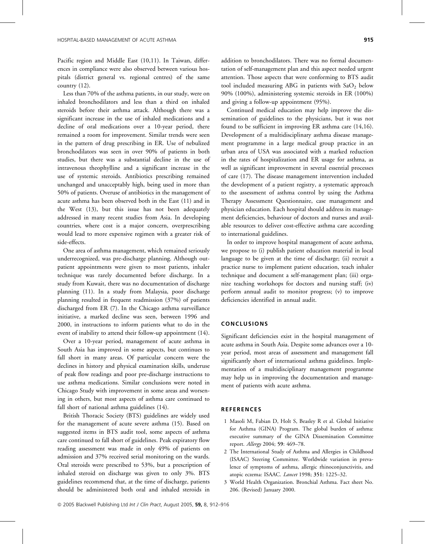Pacific region and Middle East (10,11). In Taiwan, differences in compliance were also observed between various hospitals (district general vs. regional centres) of the same country (12).

Less than 70% of the asthma patients, in our study, were on inhaled bronchodilators and less than a third on inhaled steroids before their asthma attack. Although there was a significant increase in the use of inhaled medications and a decline of oral medications over a 10-year period, there remained a room for improvement. Similar trends were seen in the pattern of drug prescribing in ER. Use of nebulized bronchodilators was seen in over 90% of patients in both studies, but there was a substantial decline in the use of intravenous theophylline and a significant increase in the use of systemic steroids. Antibiotics prescribing remained unchanged and unacceptably high, being used in more than 50% of patients. Overuse of antibiotics in the management of acute asthma has been observed both in the East (11) and in the West (13), but this issue has not been adequately addressed in many recent studies from Asia. In developing countries, where cost is a major concern, overprescribing would lead to more expensive regimen with a greater risk of side-effects.

One area of asthma management, which remained seriously underrecognized, was pre-discharge planning. Although outpatient appointments were given to most patients, inhaler technique was rarely documented before discharge. In a study from Kuwait, there was no documentation of discharge planning (11). In a study from Malaysia, poor discharge planning resulted in frequent readmission (37%) of patients discharged from ER (7). In the Chicago asthma surveillance initiative, a marked decline was seen, between 1996 and 2000, in instructions to inform patients what to do in the event of inability to attend their follow-up appointment (14).

Over a 10-year period, management of acute asthma in South Asia has improved in some aspects, but continues to fall short in many areas. Of particular concern were the declines in history and physical examination skills, underuse of peak flow readings and poor pre-discharge instructions to use asthma medications. Similar conclusions were noted in Chicago Study with improvement in some areas and worsening in others, but most aspects of asthma care continued to fall short of national asthma guidelines (14).

British Thoracic Society (BTS) guidelines are widely used for the management of acute severe asthma (15). Based on suggested items in BTS audit tool, some aspects of asthma care continued to fall short of guidelines. Peak expiratory flow reading assessment was made in only 49% of patients on admission and 37% received serial monitoring on the wards. Oral steroids were prescribed to 53%, but a prescription of inhaled steroid on discharge was given to only 3%. BTS guidelines recommend that, at the time of discharge, patients should be administered both oral and inhaled steroids in

addition to bronchodilators. There was no formal documentation of self-management plan and this aspect needed urgent attention. Those aspects that were conforming to BTS audit tool included measuring ABG in patients with  $SaO<sub>2</sub>$  below 90% (100%), administering systemic steroids in ER (100%) and giving a follow-up appointment (95%).

Continued medical education may help improve the dissemination of guidelines to the physicians, but it was not found to be sufficient in improving ER asthma care (14,16). Development of a multidisciplinary asthma disease management programme in a large medical group practice in an urban area of USA was associated with a marked reduction in the rates of hospitalization and ER usage for asthma, as well as significant improvement in several essential processes of care (17). The disease management intervention included the development of a patient registry, a systematic approach to the assessment of asthma control by using the Asthma Therapy Assessment Questionnaire, case management and physician education. Each hospital should address its management deficiencies, behaviour of doctors and nurses and available resources to deliver cost-effective asthma care according to international guidelines.

In order to improve hospital management of acute asthma, we propose to (i) publish patient education material in local language to be given at the time of discharge; (ii) recruit a practice nurse to implement patient education, teach inhaler technique and document a self-management plan; (iii) organize teaching workshops for doctors and nursing staff; (iv) perform annual audit to monitor progress; (v) to improve deficiencies identified in annual audit.

#### CONCLUSIONS

Significant deficiencies exist in the hospital management of acute asthma in South Asia. Despite some advances over a 10 year period, most areas of assessment and management fall significantly short of international asthma guidelines. Implementation of a multidisciplinary management programme may help us in improving the documentation and management of patients with acute asthma.

#### REFERENCES

- 1 Masoli M, Fabian D, Holt S, Beasley R et al. Global Initiative for Asthma (GINA) Program. The global burden of asthma: executive summary of the GINA Dissemination Committee report. Allergy 2004; 59: 469–78.
- 2 The International Study of Asthma and Allergies in Childhood (ISAAC) Steering Committee. Worldwide variation in prevalence of symptoms of asthma, allergic rhinoconjunctivitis, and atopic eczema: ISAAC. Lancet 1998; 351: 1225–32.
- 3 World Health Organization. Bronchial Asthma. Fact sheet No. 206. (Revised) January 2000.